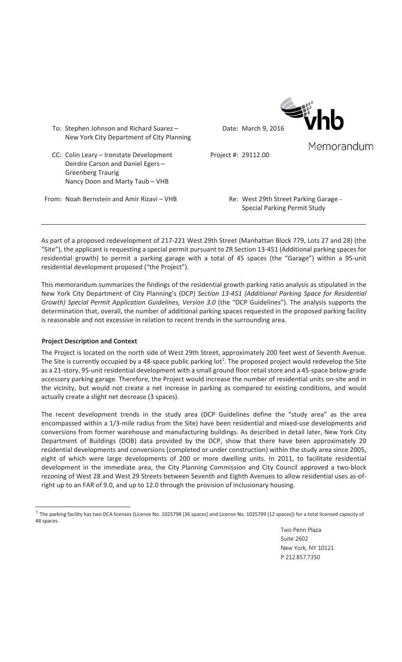

Memorandum

- To: Stephen Johnson and Richard Suarez New York City Department of City Planning
- CC: Colin Leary Ironstate Development Deirdre Carson and Daniel Egers – Greenberg Traurig Nancy Doon and Marty Taub – VHB

Project #: 29112.00

From: Noah Bernstein and Amir Rizavi – VHB Re: West 29th Street Parking Garage -

Special Parking Permit Study

As part of a proposed redevelopment of 217-221 West 29th Street (Manhattan Block 779, Lots 27 and 28) (the "Site"), the applicant is requesting a special permit pursuant to ZR Section 13-451 (Additional parking spaces for residential growth) to permit a parking garage with a total of 45 spaces (the "Garage") within a 95-unit residential development proposed ("the Project").

This memorandum summarizes the findings of the residential growth parking ratio analysis as stipulated in the New York City Department of City Planning's (DCP) *Section 13Ͳ451 (Additional Parking Space for Residential Growth) Special Permit Application Guidelines, Version 3.0* (the "DCP Guidelines"). The analysis supports the determination that, overall, the number of additional parking spaces requested in the proposed parking facility is reasonable and not excessive in relation to recent trends in the surrounding area.

## **Project Description and Context**

 $\overline{a}$ 

The Project is located on the north side of West 29th Street, approximately 200 feet west of Seventh Avenue. The Site is currently occupied by a 48-space public parking lot<sup>1</sup>. The proposed project would redevelop the Site as a 21-story, 95-unit residential development with a small ground floor retail store and a 45-space below-grade accessory parking garage. Therefore, the Project would increase the number of residential units on-site and in the vicinity, but would not create a net increase in parking as compared to existing conditions, and would actually create a slight net decrease (3 spaces).

The recent development trends in the study area (DCP Guidelines define the "study area" as the area encompassed within a 1/3-mile radius from the Site) have been residential and mixed-use developments and conversions from former warehouse and manufacturing buildings. As described in detail later, New York City Department of Buildings (DOB) data provided by the DCP, show that there have been approximately 20 residential developments and conversions (completed or under construction) within the study area since 2005, eight of which were large developments of 200 or more dwelling units. In 2011, to facilitate residential development in the immediate area, the City Planning Commission and City Council approved a two-block rezoning of West 28 and West 29 Streets between Seventh and Eighth Avenues to allow residential uses as-ofright up to an FAR of 9.0, and up to 12.0 through the provision of inclusionary housing.

Two Penn Plaza Suite 2602 New York, NY 10121 P 212.857.7350

<sup>&</sup>lt;sup>1</sup> The parking facility has two DCA licenses (License No. 1025798 [36 spaces] and License No. 1025799 [12 spaces]) for a total licensed capacity of 48 spaces.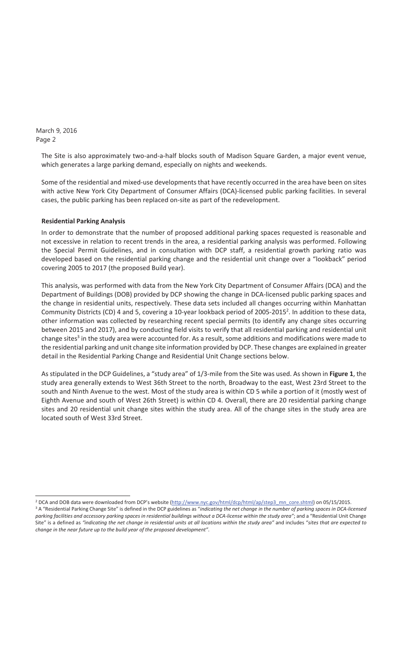$\overline{a}$ 

The Site is also approximately two-and-a-half blocks south of Madison Square Garden, a major event venue, which generates a large parking demand, especially on nights and weekends.

Some of the residential and mixed-use developments that have recently occurred in the area have been on sites with active New York City Department of Consumer Affairs (DCA)-licensed public parking facilities. In several cases, the public parking has been replaced on-site as part of the redevelopment.

#### **Residential Parking Analysis**

In order to demonstrate that the number of proposed additional parking spaces requested is reasonable and not excessive in relation to recent trends in the area, a residential parking analysis was performed. Following the Special Permit Guidelines, and in consultation with DCP staff, a residential growth parking ratio was developed based on the residential parking change and the residential unit change over a "lookback" period covering 2005 to 2017 (the proposed Build year).

This analysis, was performed with data from the New York City Department of Consumer Affairs (DCA) and the Department of Buildings (DOB) provided by DCP showing the change in DCA-licensed public parking spaces and the change in residential units, respectively. These data sets included all changes occurring within Manhattan Community Districts (CD) 4 and 5, covering a 10-year lookback period of 2005-2015<sup>2</sup>. In addition to these data, other information was collected by researching recent special permits (to identify any change sites occurring between 2015 and 2017), and by conducting field visits to verify that all residential parking and residential unit change sites<sup>3</sup> in the study area were accounted for. As a result, some additions and modifications were made to the residential parking and unit change site information provided by DCP. These changes are explained in greater detail in the Residential Parking Change and Residential Unit Change sections below.

As stipulated in the DCP Guidelines, a "study area" of 1/3-mile from the Site was used. As shown in Figure 1, the study area generally extends to West 36th Street to the north, Broadway to the east, West 23rd Street to the south and Ninth Avenue to the west. Most of the study area is within CD 5 while a portion of it (mostly west of Eighth Avenue and south of West 26th Street) is within CD 4. Overall, there are 20 residential parking change sites and 20 residential unit change sites within the study area. All of the change sites in the study area are located south of West 33rd Street.

<sup>&</sup>lt;sup>2</sup> DCA and DOB data were downloaded from DCP's website (http://www.nyc.gov/html/dcp/html/ap/step3\_mn\_core.shtml) on 05/15/2015. <sup>3</sup> A "Residential Parking Change Site" is defined in the DCP guidelines as "indicating the net change in the number of parking spaces in DCA-licensed parking facilities and accessory parking spaces in residential buildings without a DCA-license within the study area"; and a "Residential Unit Change Site" is a defined as "indicating the net change in residential units at all locations within the study area" and includes "sites that are expected to *change in the near future up to the build year of the proposed development"*.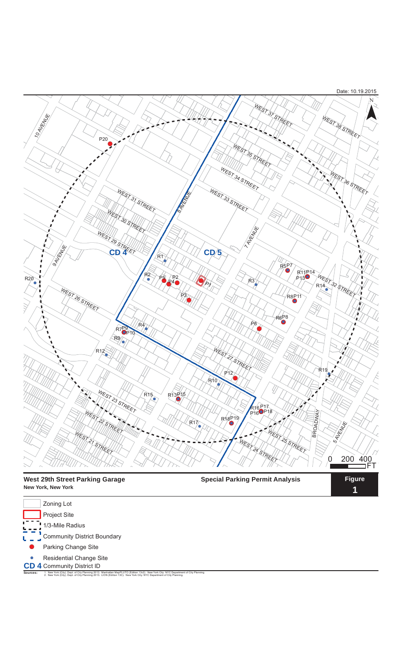

**1**

| <b>New York, New York</b> |  |  |
|---------------------------|--|--|
| Zoning Lot                |  |  |
| <b>Project Site</b>       |  |  |
| 1/3-Mile Radius           |  |  |

Community District Boundary

Parking Change Site

Residential Change Site

**CD 4** Community District ID<br>Sources: 1. New York (City). Dept. of City Planning 2013. Manhattan MapPLUTO (Edition 13v2). New York City: NYC Department of City Planning. 1. New York (City). Dept. of City Planning 2013. Manhattan MapPLUTO (Edition 13v2). New York City: NYC Department of City Planning.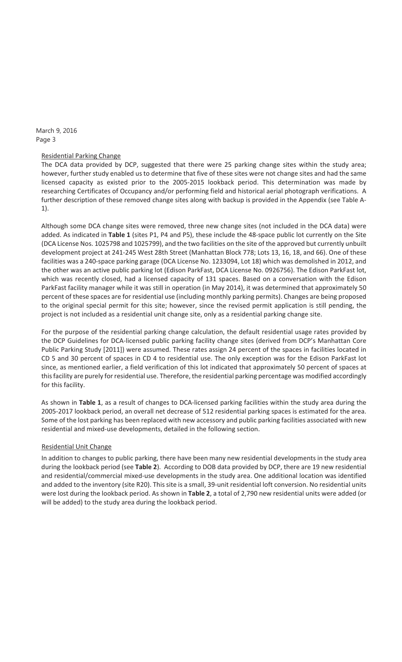### Residential Parking Change

The DCA data provided by DCP, suggested that there were 25 parking change sites within the study area; however, further study enabled us to determine that five of these sites were not change sites and had the same licensed capacity as existed prior to the 2005-2015 lookback period. This determination was made by researching Certificates of Occupancy and/or performing field and historical aerial photograph verifications. A further description of these removed change sites along with backup is provided in the Appendix (see Table A-1).

Although some DCA change sites were removed, three new change sites (not included in the DCA data) were added. As indicated in Table 1 (sites P1, P4 and P5), these include the 48-space public lot currently on the Site (DCA License Nos. 1025798 and 1025799), and the two facilities on the site of the approved but currently unbuilt development project at 241-245 West 28th Street (Manhattan Block 778; Lots 13, 16, 18, and 66). One of these facilities was a 240-space parking garage (DCA License No. 1233094, Lot 18) which was demolished in 2012, and the other was an active public parking lot (Edison ParkFast, DCA License No. 0926756). The Edison ParkFast lot, which was recently closed, had a licensed capacity of 131 spaces. Based on a conversation with the Edison ParkFast facility manager while it was still in operation (in May 2014), it was determined that approximately 50 percent of these spaces are for residential use (including monthly parking permits). Changes are being proposed to the original special permit for this site; however, since the revised permit application is still pending, the project is not included as a residential unit change site, only as a residential parking change site.

For the purpose of the residential parking change calculation, the default residential usage rates provided by the DCP Guidelines for DCA-licensed public parking facility change sites (derived from DCP's Manhattan Core Public Parking Study [2011]) were assumed. These rates assign 24 percent of the spaces in facilities located in CD 5 and 30 percent of spaces in CD 4 to residential use. The only exception was for the Edison ParkFast lot since, as mentioned earlier, a field verification of this lot indicated that approximately 50 percent of spaces at thisfacility are purely forresidential use. Therefore, the residential parking percentage was modified accordingly for this facility.

As shown in Table 1, as a result of changes to DCA-licensed parking facilities within the study area during the 2005-2017 lookback period, an overall net decrease of 512 residential parking spaces is estimated for the area. Some of the lost parking has been replaced with new accessory and public parking facilities associated with new residential and mixed-use developments, detailed in the following section.

### Residential Unit Change

In addition to changes to public parking, there have been many new residential developments in the study area during the lookback period (see Table 2). According to DOB data provided by DCP, there are 19 new residential and residential/commercial mixed-use developments in the study area. One additional location was identified and added to the inventory (site R20). This site is a small, 39-unit residential loft conversion. No residential units were lost during the lookback period. As shown in **Table 2**, a total of 2,790 new residential units were added (or will be added) to the study area during the lookback period.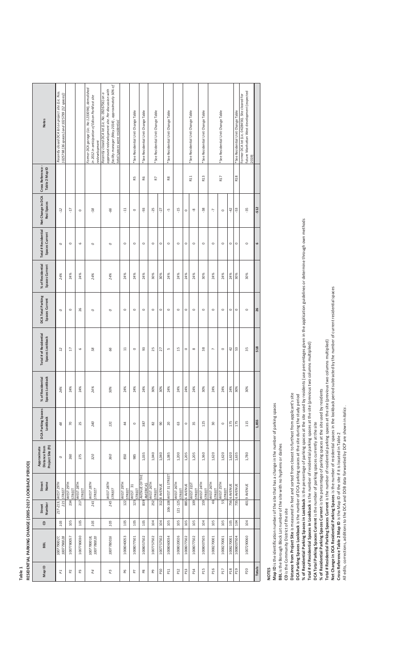| L PARKING CHANGE (2005-2017 LOOKBACK PERIOD |
|---------------------------------------------|
|                                             |
|                                             |
| <b>DECIDENTIAL</b><br>ים<br>ק               |

Г

| <b>Notes</b>                                      | Recently closed DCA lot on project site (Lic. Nos.<br>1025798 [36 spaces] and 1025799 [12 spaces]) |                         |                     | Former DCA garage (Lic. No 1233094), demolished<br>in 2012 in anticipation of Edison ParkFast site<br>redevelopment | facility manager (May 2014), approximately 50% of<br>approved redevelopment site. Per discussion with<br>Recently closed DCA lot (Lic. No. 0926756) on a<br>total spaces were residential. |                         | *See Residential Unit Change Table | *See Residential Unit Change Table | *See Residential Unit Change Table |             | *See Residential Unit Change Table |                             |              | *See Residential Unit Change Table | *See Residential Unit Change Table |                           | *See Residential Unit Change Table |              | *See Residential Unit Change Table | future Manhattan West development (expected<br>Former DCA lot (Lic. 0428456). Site cleared for<br>2019) |           |
|---------------------------------------------------|----------------------------------------------------------------------------------------------------|-------------------------|---------------------|---------------------------------------------------------------------------------------------------------------------|--------------------------------------------------------------------------------------------------------------------------------------------------------------------------------------------|-------------------------|------------------------------------|------------------------------------|------------------------------------|-------------|------------------------------------|-----------------------------|--------------|------------------------------------|------------------------------------|---------------------------|------------------------------------|--------------|------------------------------------|---------------------------------------------------------------------------------------------------------|-----------|
| Cross Reference-<br>Table 2 Map ID                |                                                                                                    |                         |                     |                                                                                                                     |                                                                                                                                                                                            |                         | R5                                 | R6                                 | 53                                 |             | R8                                 |                             |              | R <sub>11</sub>                    | R13                                |                           | R <sub>17</sub>                    |              | R <sub>18</sub>                    |                                                                                                         |           |
| Net Change in DCA<br>Resi Spaces                  | Ż.                                                                                                 | $\overline{1}$          | $\circ$             | $-58$                                                                                                               | -66                                                                                                                                                                                        | H                       | $\circ$                            | 93                                 | $-25$                              | $-27$       | ή                                  | $\frac{15}{1}$              | $\circ$      | ၹု                                 | $-38$                              | 7                         | $\circ$                            | $-42$        | $-53$                              | $-35$                                                                                                   | -512      |
| <b>Total # Residential</b><br>Spaces Current      | $\circ$                                                                                            | $\circ$                 | $\circ$             | $\circ$                                                                                                             | $\circ$                                                                                                                                                                                    | $\circ$                 | $\circ$                            | $\circ$                            | $\circ$                            | $\circ$     | $\circ$                            | $\circ$                     | $\circ$      | $\circ$                            | $\circ$                            | $\circ$                   | $\circ$                            | $\circ$      | $\circ$                            | $\circ$                                                                                                 | $\bullet$ |
| % of Residential<br>Spaces Current                | 24%                                                                                                | 24%                     | 24%                 | 24%                                                                                                                 | 24%                                                                                                                                                                                        | 24%                     | 24%                                | 24%                                | 30%                                | 30%         | 24%                                | 24%                         | 24%          | 24%                                | 30%                                | 24%                       | 24%                                | 24%          | 30%                                | 30%                                                                                                     |           |
| <b>DCA Total Parking</b><br>Spaces Current        | $\circ$                                                                                            | $\circ$                 | 26                  | $\circ$                                                                                                             | $\circ$                                                                                                                                                                                    | $\circ$                 | $\circ$                            | $\circ$                            | $\circ$                            | $\circ$     | $\circ$                            | $\circ$                     | $\circ$      | $\circ$                            | $\circ$                            | $\circ$                   | $\circ$                            | $\circ$      | $\circ$                            | $\circ$                                                                                                 | 26        |
| <b>Total # of Residential</b><br>Spaces Lookback  | 12                                                                                                 | Ħ                       | $\circ$             | 58                                                                                                                  | 99                                                                                                                                                                                         | ∺                       | $\circ$                            | 93                                 | 25                                 | 27          | LN,                                | 15                          | $\circ$      | $\infty$                           | 38                                 | $\overline{ }$            | $\circ$                            | a,           | S                                  | 55                                                                                                      | 518       |
| % of Residential<br>Spaces Lookback               | 24%                                                                                                | 24%                     | 24%                 | 24%                                                                                                                 | 50%                                                                                                                                                                                        | 24%                     | 24%                                | 24%                                | 30%                                | 30%         | 24%                                | 24%                         | 24%          | 24%                                | 30%                                | 24%                       | 24%                                | 24%          | 30%                                | 30%                                                                                                     |           |
| DCA Parking Spaces<br>Lookback                    | $\sqrt[4]{6}$                                                                                      | $\mathcal{R}$           | 25                  | 240                                                                                                                 | 131                                                                                                                                                                                        | $\ddot{a}$              | $\circ$                            | 387                                | 82                                 | 8           | 20                                 | 63                          | $\circ$      | 35                                 | 125                                | 50                        | $\circ$                            | 175          | 175                                | 115                                                                                                     | 1,855     |
| Project Site (ft)<br>Approximate<br>Distance from | $\circ$                                                                                            | 260                     | 275                 | 320                                                                                                                 | 360                                                                                                                                                                                        | 850                     | 985                                | 1,035                              | 1,040                              | 1,040       | 1,085                              | 1,200                       | 1,205        | 1,205                              | 1,360                              | 1,620                     | 1,620                              | 1,620        | 1,635                              | 1,780                                                                                                   |           |
| Name<br>Street                                    | 217-219, WEST 29TH<br>STREET                                                                       | 234 WEST 29TH<br>STREET | WEST 28TH<br>STREET | WEST 28TH<br>STREET                                                                                                 | $245 \left  \frac{\text{WEST 28TH}}{1} \right.$<br>STREET                                                                                                                                  | 122 WEST 29TH<br>STREET | WEST 31<br>STREET                  | 839 AVENUE OF THE<br>AMERICAS      | WEST 26TH<br>STREET                | 3128 AVENUE | 106-108 WEST 31 STREET             | 121-125 WEST 26TH<br>STREET | 885 6 AVENUE | 109 WEST 31ST<br>STREET            | $159$ NEST 24TH<br>STREET          | WEST 26TH<br>STREET<br>46 | 55 WEST 25TH                       | 756 6 AVENUE | 735 6 AVENUE                       | 4019 AVENUE                                                                                             |           |
| Number<br>Street                                  | 221                                                                                                |                         | 217                 | 241                                                                                                                 |                                                                                                                                                                                            |                         | 125                                |                                    | 252                                |             |                                    |                             |              |                                    |                                    |                           |                                    |              |                                    |                                                                                                         |           |
| $\theta$                                          | 105                                                                                                | 105                     | 105                 | 105                                                                                                                 | 105                                                                                                                                                                                        | 105                     | 105                                | 105                                | 104                                | 104         | 105                                | 105                         | 105          | 105                                | 104                                | 105                       | 105                                | 105          | 104                                | 104                                                                                                     |           |
| BBL                                               | 1007790027,<br>1007790028                                                                          | 1007780057              | 1007780030          | 1007780020<br>1007780018,                                                                                           | 1007780016                                                                                                                                                                                 | 1008040053              | 1008077501                         | 1008057502                         | 1007757502                         | 1007757502  | 1008060034                         | 1008020026                  | 1008077502   | 1008077502                         | 1008007505                         | 1008270001                | 1008270001                         | 1008270001   | 1008007504                         | 1007290060                                                                                              |           |
| Map ID                                            | PI                                                                                                 | $\mathsf{P}^2$          | P3                  | $_{\it{P4}}$                                                                                                        | $P5$                                                                                                                                                                                       | P6                      | P <sub>7</sub>                     | $_{\rm p}^{\rm o}$                 | ፎ                                  | P10         | P11                                | P12                         | P13          | P14                                | P15                                | P16                       | P <sub>17</sub>                    | P18          | P <sub>19</sub>                    | P20                                                                                                     | Totals    |

**NOTES**<br>Map ID is the identification number of the site that has a change in the number of parking spaces<br>BBL is the Borough Block Lot number of the site with no hyphens or dashes **Map ID** is the identification number of the site that has a change in the number of parking spaces

**BBL** is the Borough Block Lot number of the site with no hyphens or dashes

CD is the Community District of the site **CD** is the Community District of the site

Distance from Project Site is measured in feet and sorted from closest to furthest from applicant's site<br>DCA Parking Spaces Lookback is the number of DCA parking spaces at the site during the study period **Distance from Project Site** is measured in feet and sorted from closest to furthest from applicant's site

**DCA Parking Spaces Lookback** is the number of DCA parking spaces at the site during the study period

% of Residential Parking Spaces in Lookback is the percentage of parking spaces at the site used by residents (use percentages given in the application guidelines or determine through own methods % of Residential Parking Spaces in Lookback is the percentage of parking spaces at the site used by residents (use percentages given in the application guidelines or determine through own methods Total # of Residential Spaces in Lookback is the number of residential parking spaces at the site (previous two columns multiplied)

**Total # of Residential Spaces in Lookback** is the number of residential parking spaces at the site (previous two columns multiplied)

DCA Total Parking Spaces Current is the number of parking spaces currently at the site **DCA Total Parking Spaces Current** is the number of parking spaces currently at the site

**of Residential Parking Spaces Current** is the percentage of parking spaces at the site used by residents

% of Residential Parking Spaces Current is the percentage of parking spaces at the site used by residents<br>Total # Residential Parking Spaces Current is the number of residential parking spaces at the site (previous two col **Total # Residential Parking Spaces Current** is the number of residential parking spaces at the site (previous two columns multiplied)

**Net Change in DCA Residential Parking Spaces** is the number of residential spaces in the lookback period subtracted by the number of current residential spaces

Cross Reference Table 2 Map ID is the Map ID of the site if it is located in Table 2 **Cross Reference Table 2 Map ID** is the Map ID of the site if it is located in Table 2

All edits, corrections, additions to the DCA and DOB data forwarded by DCP are shown in italics. All edits, corrections, additions to the DCA and DOB data forwarded by DCP are shown in *italics*.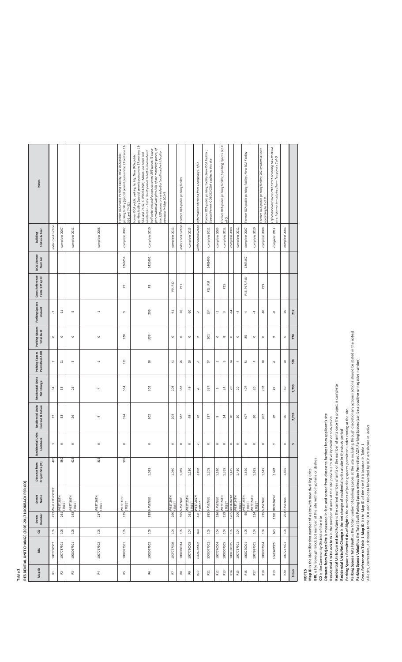# RESIDENTIAL UNIT CHANGE (2005-2017 LOOKBACK PERIOD) **RESIDENTIAL UNIT CHANGE (2005-2017 LOOKBACK PERIOD) Table 2**

| <b>Notes</b>                                 |                         |                            |                            |                  | parking facility (special permit pursuant to ZR sections 13-<br>Former DCA Public Parking Facility; New DCA public<br>562 and 74-52) | parking facility (special permit pursuant to ZR sections 13<br>half hotel and publuc use, assumed 365 spaces (1 space<br>per residential unit plus 24% of the remaning spaces) of<br>residential - Since development is half residential and<br>the 529 spaces are residential (confirmed with facility<br>562 and 74-52, C 070073 ZSM); Mixed-use hotel and<br>former DCA public parking facility; New DCA public<br>operator in May 2014). |                | under construction Former DCA public parking facility |                  | Information obtained from Temporary C of O. | Former DCA public parking facility; New DCA Facility ;<br>Special Permit C O80524ZSM applies to this site |               | Former DCA public parking facility; 8 parking spaces per C<br>of O |                      |                            | Former DCA public parking facility; New DCA Facility |                            | Former DCA public parking facility; 202 residential units<br>according to C of O | Loft conversion; West 28th Street Rezoning EAS No Build<br>site. Information obtained from Temporary C of O. |                |        |
|----------------------------------------------|-------------------------|----------------------------|----------------------------|------------------|--------------------------------------------------------------------------------------------------------------------------------------|----------------------------------------------------------------------------------------------------------------------------------------------------------------------------------------------------------------------------------------------------------------------------------------------------------------------------------------------------------------------------------------------------------------------------------------------|----------------|-------------------------------------------------------|------------------|---------------------------------------------|-----------------------------------------------------------------------------------------------------------|---------------|--------------------------------------------------------------------|----------------------|----------------------------|------------------------------------------------------|----------------------------|----------------------------------------------------------------------------------|--------------------------------------------------------------------------------------------------------------|----------------|--------|
| <b>Status &amp; Year</b><br>Building         | under construction      | complete 2007              | complete 2011              | complete 2008    | complete 2007                                                                                                                        | complete 2010                                                                                                                                                                                                                                                                                                                                                                                                                                | complete 2013  |                                                       | complete 2015    | under construction                          | complete 2011                                                                                             | complete 2005 | complete 2012                                                      | complete 2008        | complete 2012              | complete 2007                                        | complete 2010              | complete 2008                                                                    | complete 2013                                                                                                | complete 2006  |        |
| <b>DCA</b> License<br>Number                 |                         |                            |                            |                  | 1266254                                                                                                                              | 1422491                                                                                                                                                                                                                                                                                                                                                                                                                                      |                |                                                       |                  |                                             | 1402406                                                                                                   |               |                                                                    |                      |                            | 1263167                                              |                            |                                                                                  |                                                                                                              |                |        |
| Cross Reference<br>Table 1 Map ID            |                         |                            |                            |                  | Fq                                                                                                                                   | $_{\rm{p}}$                                                                                                                                                                                                                                                                                                                                                                                                                                  | P9, P10        | $\overline{11}$                                       |                  |                                             | P13, P14                                                                                                  |               | P <sub>15</sub>                                                    |                      |                            | P16, P17, P18                                        |                            | P19                                                                              |                                                                                                              |                |        |
| Parking Spaces<br>Unbuilt                    | 7                       | H.                         | က္                         | Ļ                | G                                                                                                                                    | 296                                                                                                                                                                                                                                                                                                                                                                                                                                          | $\frac{1}{2}$  | $-76$                                                 | ٩P.              | Ņ                                           | 134                                                                                                       | 4             | $\,$ $\,$                                                          | $-14$                | 4                          | 4                                                    | $\overline{\mathcal{A}}$   | $\triangleq$                                                                     | 9                                                                                                            | ģ.             | 212    |
| Parking Spaces<br>Total Built                | $\circ$                 | $\circ$                    | $\circ$                    | $\circ$          | 120                                                                                                                                  | 356                                                                                                                                                                                                                                                                                                                                                                                                                                          | $\circ$        | $\circ$                                               | $\circ$          | $\circ$                                     | 201                                                                                                       | $\circ$       | $\infty$                                                           | $\circ$              | $\circ$                    | 85                                                   | $\circ$                    | $\circ$                                                                          | $\circ$                                                                                                      | $\circ$        | 770    |
| Parking Spaces<br>Permitted AOR              | $\overline{ }$          | $\Xi$                      | m                          | $\overline{a}$   | 111                                                                                                                                  | $\mathbb S$                                                                                                                                                                                                                                                                                                                                                                                                                                  | $\overline{4}$ | 76                                                    | 5                | $\sim$                                      | C)                                                                                                        |               | LN,                                                                | $\sharp$             | 4                          | 21                                                   | 4                          | $\triangleleft$                                                                  | $^{\circ}$                                                                                                   | $\overline{a}$ | 558    |
| <b>Residential Units</b><br>Net Change       | $\overline{\mathbf{3}}$ | 53                         | 26                         | 4                | 554                                                                                                                                  | 302                                                                                                                                                                                                                                                                                                                                                                                                                                          | 204            | 382                                                   | 49               | $\infty$                                    | 337                                                                                                       | LN,           | $^{24}$                                                            | $\approx$            | 20                         | $\frac{1}{2}$                                        | 20                         | 202                                                                              | $\rm{39}$                                                                                                    | SO             | 2,790  |
| <b>Residential Units</b><br>Current & Future | 57                      | 53                         | 26                         | 4                | 554                                                                                                                                  | 302                                                                                                                                                                                                                                                                                                                                                                                                                                          | 204            | 382                                                   | 49               | $\overline{u}$                              | 337                                                                                                       | LŊ,           | $^{24}$                                                            | $\mathcal{L}$        | 20                         | 407                                                  | 20                         | 202                                                                              | 59                                                                                                           | 50             | 2,795  |
| Units<br>Lookback<br>Residential             | $\sim$                  | $\circ$                    | $\circ$                    | $\circ$          | $\circ$                                                                                                                              | $\circ$                                                                                                                                                                                                                                                                                                                                                                                                                                      | $\circ$        | $\circ$                                               | $\circ$          | $\sim$                                      | $\circ$                                                                                                   | $\circ$       | $\circ$                                                            | $\circ$              | $\circ$                    | $\circ$                                              | $\circ$                    | $\circ$                                                                          | $\circ$                                                                                                      | $\circ$        | Lŋ     |
| Distance from<br>Project Site (ft)           | 470                     | 580                        | 625                        | 815              | 985                                                                                                                                  | 1,035                                                                                                                                                                                                                                                                                                                                                                                                                                        | 1,040          | 1,085                                                 | 1,130            | 1,190                                       | 1,205                                                                                                     | 1,350         | 1,355                                                              | 1,415                | 1,430                      | 1,620                                                | 1,635                      | 1,645                                                                            | $1,780\,$                                                                                                    | 1,865          |        |
| Street<br>Name                               | 257 West 29TH STEET     | WEST 28TH<br>STREET<br>261 | WEST 30TH<br>STREET<br>143 | WEST 26TH<br>237 | WEST 31ST<br>STREET<br>125                                                                                                           | 839 6 AVENUE                                                                                                                                                                                                                                                                                                                                                                                                                                 | 260 WEST 26TH  | 855 6 AVENUE                                          | WEST 25TH<br>261 | WEST 26TH<br>STREET<br>132                  | 885 6 AVENUE                                                                                              | 286 8 AVENUE  | 159 WEST 24TH                                                      | <b>L265</b> BROADWAY | WEST 24TH<br>STREET<br>200 | WEST 25TH<br>STREET<br>55                            | WEST 24TH<br>STREET<br>124 | 735 6 AVENUE                                                                     | <b>BROADWAY</b><br>1182                                                                                      | 263 9 AVENUE   |        |
| Street<br>Number                             |                         |                            |                            |                  |                                                                                                                                      |                                                                                                                                                                                                                                                                                                                                                                                                                                              |                |                                                       |                  |                                             |                                                                                                           |               |                                                                    |                      |                            |                                                      |                            |                                                                                  |                                                                                                              |                |        |
| e                                            | 105                     | 105                        | 105                        | 105              | 105                                                                                                                                  | 105                                                                                                                                                                                                                                                                                                                                                                                                                                          | 104            | 105                                                   | 104              | $104\,$                                     | 105                                                                                                       | 104           | $104\,$                                                            | 105                  | 104                        | 105                                                  | 104                        | 104                                                                              | 105                                                                                                          | 104            |        |
| BBL                                          | 1007790007              | 1007787501                 | 1008067501                 | 1007767502       | 1008077501                                                                                                                           | 1008057502                                                                                                                                                                                                                                                                                                                                                                                                                                   | 1007757502     | 1008060034                                            | 1007750005       | 1008010060                                  | 1008077502                                                                                                | 1007740004    | 1008007505                                                         | 1008330075           | 1007737501                 | 1008270001                                           | 1007997501                 | 1008007504                                                                       | 1008300026                                                                                                   | 1007237501     |        |
| Map ID                                       | $\Xi$                   | R <sub>2</sub>             | R3                         | 5                | 53                                                                                                                                   | R6                                                                                                                                                                                                                                                                                                                                                                                                                                           | P.             | R8                                                    | œ,               | R10                                         | R11                                                                                                       | R12           | R13                                                                | R14                  | R15                        | R16                                                  | R17                        | R18                                                                              | R19                                                                                                          | R20            | Totals |

**Map ID** is the identification number of a site with new dwelling units

**BBL** is the Borough Block Lot number of the site with no hyphens or dashes

**CD** is the Community District of the site

**Distance from Project Site** is measured in feet and sorted from closest to furthest from applicant's site

**Residential Units Lookback** is the number of units at the site previous to development or conversion

**Residential Units Current and Future** is the current number of units or the number of units once the project is complete

**Residential Units Net Change** is the net change of residential units at site in the study period

**Parking Spaces Permitted AsͲofͲRight** is the number of parking spaces permitted under zoning at the site

**NOTES**<br>Map ID is the identification number of a site with new dwelling units<br>EQLE is the Borough Bock Lot function of a site with no hyphens or dashes<br>Distance from Project Site is measured in feet and sorted from closest **Parking Spaces Total Built** is the total number of parking spaces at the site including through discretionary actions (actions should be stated in the notes)

**Parking Spaces Unbuilt** is the Total Built Parking Spaces minus the Permitted AOR Parking Spaces (can be a positive or negative number)

**Cross Reference to Table 1 Map ID** is the Map ID of the site if it is located in Table 1

All edits, corrections, additions to the DCA and DOB data forwarded by DCP are shown in *italics*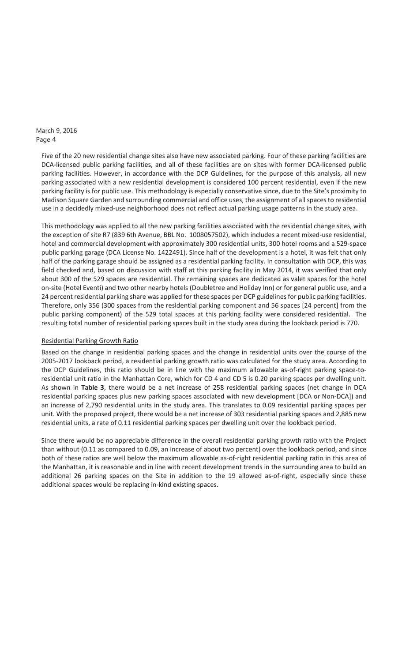> Five of the 20 new residential change sites also have new associated parking. Four of these parking facilities are DCA-licensed public parking facilities, and all of these facilities are on sites with former DCA-licensed public parking facilities. However, in accordance with the DCP Guidelines, for the purpose of this analysis, all new parking associated with a new residential development is considered 100 percent residential, even if the new parking facility is for public use. This methodology is especially conservative since, due to the Site's proximity to Madison Square Garden and surrounding commercial and office uses, the assignment of all spaces to residential use in a decidedly mixed-use neighborhood does not reflect actual parking usage patterns in the study area.

> This methodology was applied to all the new parking facilities associated with the residential change sites, with the exception of site R7 (839 6th Avenue, BBL No. 1008057502), which includes a recent mixed-use residential, hotel and commercial development with approximately 300 residential units, 300 hotel rooms and a 529-space public parking garage (DCA License No. 1422491). Since half of the development is a hotel, it was felt that only half of the parking garage should be assigned as a residential parking facility. In consultation with DCP, this was field checked and, based on discussion with staff at this parking facility in May 2014, it was verified that only about 300 of the 529 spaces are residential. The remaining spaces are dedicated as valet spaces for the hotel on-site (Hotel Eventi) and two other nearby hotels (Doubletree and Holiday Inn) or for general public use, and a 24 percent residential parking share was applied for these spaces per DCP guidelines for public parking facilities. Therefore, only 356 (300 spaces from the residential parking component and 56 spaces [24 percent] from the public parking component) of the 529 total spaces at this parking facility were considered residential. The resulting total number of residential parking spaces built in the study area during the lookback period is 770.

### Residential Parking Growth Ratio

Based on the change in residential parking spaces and the change in residential units over the course of the 2005-2017 lookback period, a residential parking growth ratio was calculated for the study area. According to the DCP Guidelines, this ratio should be in line with the maximum allowable as-of-right parking space-toresidential unit ratio in the Manhattan Core, which for CD 4 and CD 5 is 0.20 parking spaces per dwelling unit. As shown in **Table 3**, there would be a net increase of 258 residential parking spaces (net change in DCA residential parking spaces plus new parking spaces associated with new development [DCA or Non-DCA]) and an increase of 2,790 residential units in the study area. This translates to 0.09 residential parking spaces per unit. With the proposed project, there would be a net increase of 303 residential parking spaces and 2,885 new residential units, a rate of 0.11 residential parking spaces per dwelling unit over the lookback period.

Since there would be no appreciable difference in the overall residential parking growth ratio with the Project than without (0.11 as compared to 0.09, an increase of about two percent) over the lookback period, and since both of these ratios are well below the maximum allowable as-of-right residential parking ratio in this area of the Manhattan, it is reasonable and in line with recent development trends in the surrounding area to build an additional 26 parking spaces on the Site in addition to the 19 allowed as-of-right, especially since these additional spaces would be replacing in-kind existing spaces.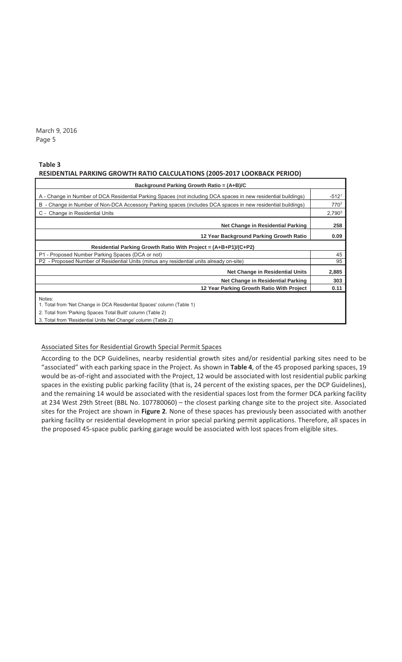#### **Table 3**

#### **RESIDENTIAL PARKING GROWTH RATIO CALCULATIONS (2005Ͳ2017 LOOKBACK PERIOD)**

| Background Parking Growth Ratio = (A+B)/C                                                                                                                                                                               |                  |
|-------------------------------------------------------------------------------------------------------------------------------------------------------------------------------------------------------------------------|------------------|
| A - Change in Number of DCA Residential Parking Spaces (not including DCA spaces in new residential buildings)                                                                                                          | $-5121$          |
| B - Change in Number of Non-DCA Accessory Parking spaces (includes DCA spaces in new residential buildings)                                                                                                             | 770 <sup>2</sup> |
| C - Change in Residential Units                                                                                                                                                                                         | $2,790^3$        |
| Net Change in Residential Parking                                                                                                                                                                                       | 258              |
| 12 Year Background Parking Growth Ratio                                                                                                                                                                                 | 0.09             |
| Residential Parking Growth Ratio With Project = (A+B+P1)/(C+P2)                                                                                                                                                         |                  |
| P1 - Proposed Number Parking Spaces (DCA or not)                                                                                                                                                                        | 45               |
| P2 - Proposed Number of Residential Units (minus any residential units already on-site)                                                                                                                                 | 95               |
| <b>Net Change in Residential Units</b>                                                                                                                                                                                  | 2,885            |
| Net Change in Residential Parking                                                                                                                                                                                       | 303              |
| 12 Year Parking Growth Ratio With Project                                                                                                                                                                               | 0.11             |
| Notes:<br>1. Total from 'Net Change in DCA Residential Spaces' column (Table 1)<br>2. Total from 'Parking Spaces Total Built' column (Table 2)<br>$0.$ Tatal from ID actionated Hotel Mat Observed activities (Table 0) |                  |

3. Total from 'Residential Units Net Change' column (Table 2)

#### Associated Sites for Residential Growth Special Permit Spaces

According to the DCP Guidelines, nearby residential growth sites and/or residential parking sites need to be "associated" with each parking space in the Project. As shown in **Table 4**, of the 45 proposed parking spaces, 19 would be as-of-right and associated with the Project, 12 would be associated with lost residential public parking spaces in the existing public parking facility (that is, 24 percent of the existing spaces, per the DCP Guidelines), and the remaining 14 would be associated with the residential spaces lost from the former DCA parking facility at 234 West 29th Street (BBL No. 107780060) – the closest parking change site to the project site. Associated sites for the Project are shown in **Figure 2**. None of these spaces has previously been associated with another parking facility or residential development in prior special parking permit applications. Therefore, all spaces in the proposed 45-space public parking garage would be associated with lost spaces from eligible sites.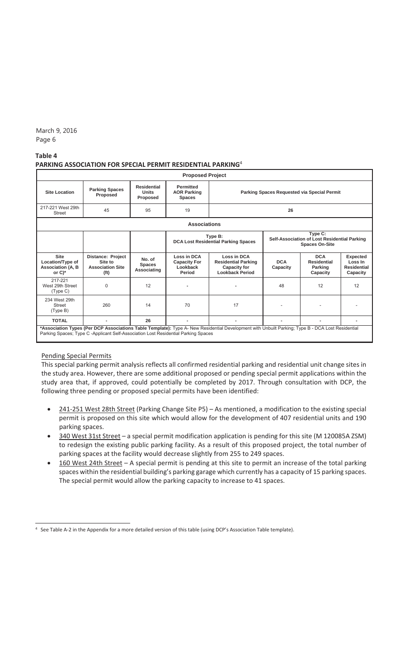#### **Table 4 PARKING ASSOCIATION FOR SPECIAL PERMIT RESIDENTIAL PARKING**<sup>4</sup>

|                                                                         |                                                                                     |                                                | <b>Proposed Project</b>                                  |                                                                                                                                                   |                        |                                                                                  |                                                              |
|-------------------------------------------------------------------------|-------------------------------------------------------------------------------------|------------------------------------------------|----------------------------------------------------------|---------------------------------------------------------------------------------------------------------------------------------------------------|------------------------|----------------------------------------------------------------------------------|--------------------------------------------------------------|
| <b>Site Location</b>                                                    | <b>Parking Spaces</b><br>Proposed                                                   | <b>Residential</b><br><b>Units</b><br>Proposed | <b>Permitted</b><br><b>AOR Parking</b><br><b>Spaces</b>  |                                                                                                                                                   |                        | Parking Spaces Requested via Special Permit                                      |                                                              |
| 217-221 West 29th<br>Street                                             | 45                                                                                  | 95                                             | 19                                                       |                                                                                                                                                   | 26                     |                                                                                  |                                                              |
|                                                                         |                                                                                     |                                                | <b>Associations</b>                                      |                                                                                                                                                   |                        |                                                                                  |                                                              |
|                                                                         |                                                                                     |                                                |                                                          | Type B:<br><b>DCA Lost Residential Parking Spaces</b>                                                                                             |                        | Type C:<br>Self-Association of Lost Residential Parking<br><b>Spaces On-Site</b> |                                                              |
| <b>Site</b><br>Location/Type of<br><b>Association (A, B</b><br>or $C^*$ | <b>Distance: Project</b><br>Site to<br><b>Association Site</b><br>(f <sup>t</sup> ) | No. of<br><b>Spaces</b><br>Associating         | Loss in DCA<br><b>Capacity For</b><br>Lookback<br>Period | Loss in DCA<br><b>Residential Parking</b><br><b>Capacity for</b><br><b>Lookback Period</b>                                                        | <b>DCA</b><br>Capacity | <b>DCA</b><br><b>Residential</b><br>Parking<br>Capacity                          | <b>Expected</b><br>Loss In<br><b>Residential</b><br>Capacity |
| 217-221<br>West 29th Street<br>(Type C)                                 | $\Omega$                                                                            | 12                                             |                                                          | ٠                                                                                                                                                 | 48                     | 12                                                                               | 12                                                           |
| 234 West 29th<br><b>Street</b><br>(Type B)                              | 260                                                                                 | 14                                             | 70                                                       | 17                                                                                                                                                |                        |                                                                                  |                                                              |
| <b>TOTAL</b>                                                            |                                                                                     | 26                                             | ٠                                                        | ۰                                                                                                                                                 | ۰                      | ۰                                                                                |                                                              |
|                                                                         | Parking Spaces; Type C -Applicant Self-Association Lost Residential Parking Spaces  |                                                |                                                          | *Association Types (Per DCP Associations Table Template): Type A- New Residential Development with Unbuilt Parking; Type B - DCA Lost Residential |                        |                                                                                  |                                                              |

### Pending Special Permits

This special parking permit analysis reflects all confirmed residential parking and residential unit change sites in the study area. However, there are some additional proposed or pending special permit applications within the study area that, if approved, could potentially be completed by 2017. Through consultation with DCP, the following three pending or proposed special permits have been identified:

- 241-251 West 28th Street (Parking Change Site P5) As mentioned, a modification to the existing special permit is proposed on this site which would allow for the development of 407 residential units and 190 parking spaces.
- 340 West 31st Street a special permit modification application is pending for this site (M 120085A ZSM) to redesign the existing public parking facility. As a result of this proposed project, the total number of parking spaces at the facility would decrease slightly from 255 to 249 spaces.
- 160 West 24th Street A special permit is pending at this site to permit an increase of the total parking spaces within the residential building's parking garage which currently has a capacity of 15 parking spaces. The special permit would allow the parking capacity to increase to 41 spaces.

 $\overline{a}$ <sup>4</sup> See Table A-2 in the Appendix for a more detailed version of this table (using DCP's Association Table template).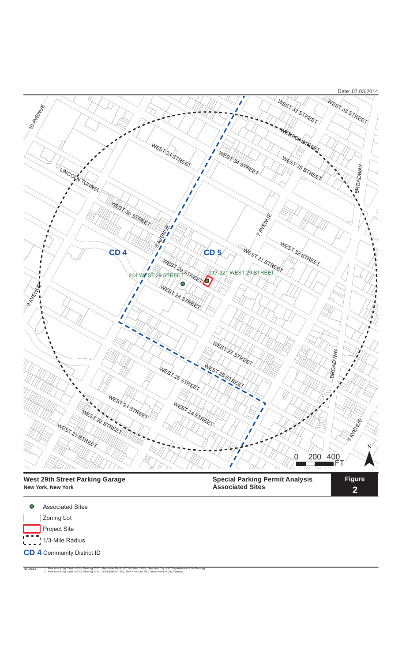

**New York, New York**

**Special Parking Permit Analysis Associated Sites**

**Figure 2**

Associated Sites  $\bullet$ Zoning Lot Project Site  $1 - 7$ <br> $1/3$ -Mile Radius

**CD 4** Community District ID

Sources: 1. New York (City). Dept. of City Planning 2013. Manhattan MapPLUTO (Edition 13v2). New York City: NYC Department of City Planning.<br>2. New York (City). Dept. of City Planning 2013. LION (Edition 13C). New York Cit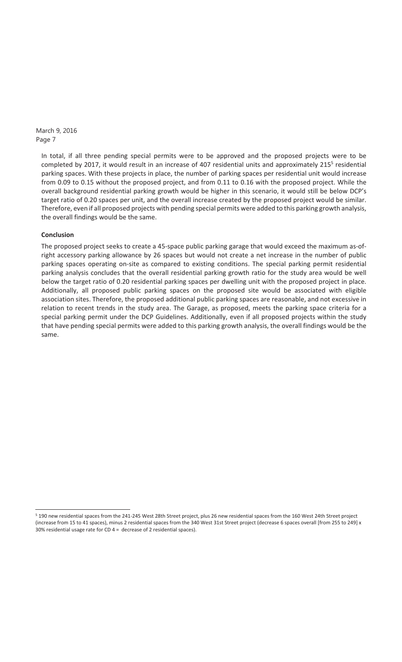> In total, if all three pending special permits were to be approved and the proposed projects were to be completed by 2017, it would result in an increase of 407 residential units and approximately 2155 residential parking spaces. With these projects in place, the number of parking spaces per residential unit would increase from 0.09 to 0.15 without the proposed project, and from 0.11 to 0.16 with the proposed project. While the overall background residential parking growth would be higher in this scenario, it would still be below DCP's target ratio of 0.20 spaces per unit, and the overall increase created by the proposed project would be similar. Therefore, even if all proposed projects with pending special permits were added to this parking growth analysis, the overall findings would be the same.

### **Conclusion**

1

The proposed project seeks to create a 45-space public parking garage that would exceed the maximum as-ofright accessory parking allowance by 26 spaces but would not create a net increase in the number of public parking spaces operating on-site as compared to existing conditions. The special parking permit residential parking analysis concludes that the overall residential parking growth ratio for the study area would be well below the target ratio of 0.20 residential parking spaces per dwelling unit with the proposed project in place. Additionally, all proposed public parking spaces on the proposed site would be associated with eligible association sites. Therefore, the proposed additional public parking spaces are reasonable, and not excessive in relation to recent trends in the study area. The Garage, as proposed, meets the parking space criteria for a special parking permit under the DCP Guidelines. Additionally, even if all proposed projects within the study that have pending special permits were added to this parking growth analysis, the overall findings would be the same.

<sup>&</sup>lt;sup>5</sup> 190 new residential spaces from the 241-245 West 28th Street project, plus 26 new residential spaces from the 160 West 24th Street project (increase from 15 to 41 spaces), minus 2 residential spaces from the 340 West 31st Street project (decrease 6 spaces overall [from 255 to 249] x 30% residential usage rate for CD  $4 =$  decrease of 2 residential spaces).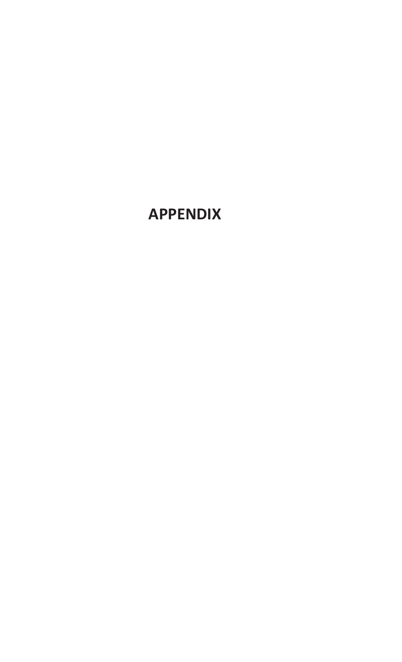## **APPENDIX**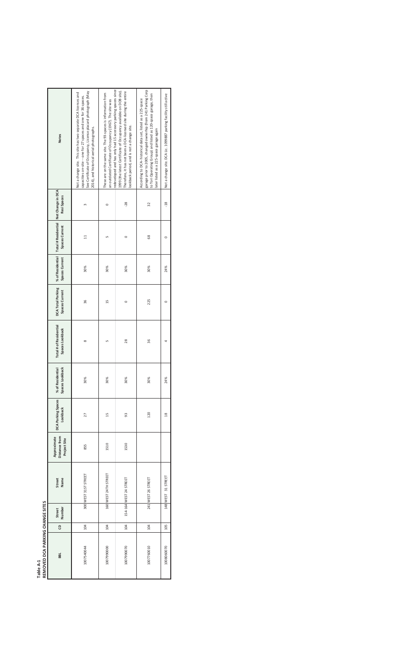|        | Ē<br>ĵ            |
|--------|-------------------|
|        | ξ<br>≑            |
|        | <b>DIVIS</b><br>ā |
|        | Ξ                 |
| î<br>٦ | 2                 |
|        |                   |

| REMOVED DCA PARKING CHANGE SITES |     |                        |                      |                                              |                                |                                     |                                           |                                            |                                    |                                                         |             |                                                                                                                                                                                                                                                |  |
|----------------------------------|-----|------------------------|----------------------|----------------------------------------------|--------------------------------|-------------------------------------|-------------------------------------------|--------------------------------------------|------------------------------------|---------------------------------------------------------|-------------|------------------------------------------------------------------------------------------------------------------------------------------------------------------------------------------------------------------------------------------------|--|
| BBL                              | e   | Street<br>Number       | Name<br>Street       | Distance from<br>Approximate<br>Project Site | DCA Parking Spaces<br>Lookback | Spaces Lookback<br>% of Residential | Total # of Residential<br>Spaces Lookback | <b>DCA Total Parking</b><br>Spaces Current | % of Residential<br>Spaces Current | Total # Residential Net Change in DCA<br>Spaces Current | Resi Spaces | <b>Notes</b>                                                                                                                                                                                                                                   |  |
| 1007540044                       | 104 | 300 WEST 31ST STREET   |                      | 855                                          | 27                             | 30%                                 | $\infty$                                  | 36                                         | 30%                                | $\mathbf{1}$                                            |             | See Certificate of Occupancy, License placard photograph (May<br>Not a change site. This site has two separate DCA licenses and<br>capacities on-site -- one for 27 spaces and one for 36 spaces.<br>2014), and historical aerial photographs. |  |
| 1007990000                       | 104 |                        | 160 WEST 24TH STREET | 1510                                         | 15                             | 30%                                 |                                           | 15                                         | 30%                                | S                                                       | $\circ$     | edeveloped and has only had 15 accessory parking spaces since<br>These are on the same site. The 93-spaces is information from<br>an outdated Certificate of Occupancy (1967). The site was                                                    |  |
| 1007990070                       | 104 | 154-164 WEST 24 STREET |                      | 1530                                         | 93                             | 30%                                 | 28                                        | $\circ$                                    | 30%                                | $\circ$                                                 | $-28$       | 1999 (the latest Certificate of Occupancy available on DOB site).<br>Therefore, it has not been a DCA-licensed site during the entire<br>lookback period, and is not a change site.                                                            |  |
| 1007760010                       | 104 | 241 WEST 26 STREET     |                      |                                              | 120                            | 30%                                 | 36                                        | 225                                        | 30%                                | 89                                                      | 32          | garage prior to 2005, changed ownerhip (from 241 Parking Corp<br>to Tori Operating Group) and listed as 120-space garage, then<br>According to DCA- historical data set, listed as a 225-space<br>ater listed as a 225-space garage again      |  |
| 1008060070                       | 105 | 148 WEST 31 STREET     |                      |                                              | $\frac{8}{2}$                  | 24%                                 |                                           |                                            | 24%                                |                                                         | $-18$       | Not a change site. DCA Lic. 1099887 parking facility still active                                                                                                                                                                              |  |